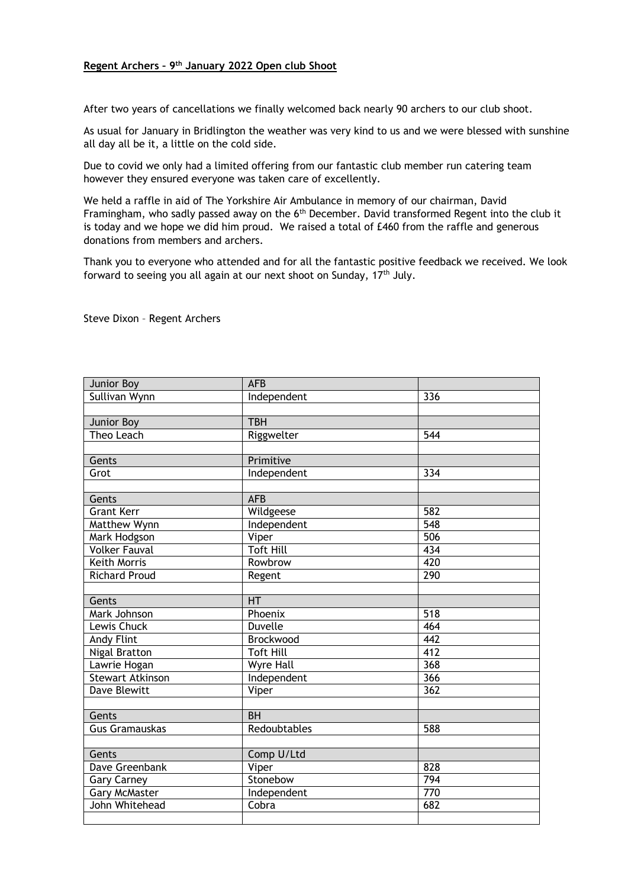## **Regent Archers – 9th January 2022 Open club Shoot**

After two years of cancellations we finally welcomed back nearly 90 archers to our club shoot.

As usual for January in Bridlington the weather was very kind to us and we were blessed with sunshine all day all be it, a little on the cold side.

Due to covid we only had a limited offering from our fantastic club member run catering team however they ensured everyone was taken care of excellently.

We held a raffle in aid of The Yorkshire Air Ambulance in memory of our chairman, David Framingham, who sadly passed away on the 6<sup>th</sup> December. David transformed Regent into the club it is today and we hope we did him proud. We raised a total of £460 from the raffle and generous donations from members and archers.

Thank you to everyone who attended and for all the fantastic positive feedback we received. We look forward to seeing you all again at our next shoot on Sunday, 17<sup>th</sup> July.

Steve Dixon – Regent Archers

| Junior Boy            | <b>AFB</b>       |                  |
|-----------------------|------------------|------------------|
| Sullivan Wynn         | Independent      | 336              |
|                       |                  |                  |
| Junior Boy            | <b>TBH</b>       |                  |
| Theo Leach            | Riggwelter       | 544              |
|                       |                  |                  |
| Gents                 | Primitive        |                  |
| Grot                  | Independent      | 334              |
|                       |                  |                  |
| Gents                 | <b>AFB</b>       |                  |
| <b>Grant Kerr</b>     | Wildgeese        | 582              |
| Matthew Wynn          | Independent      | $\overline{548}$ |
| Mark Hodgson          | Viper            | 506              |
| <b>Volker Fauval</b>  | <b>Toft Hill</b> | 434              |
| <b>Keith Morris</b>   | Rowbrow          | 420              |
| <b>Richard Proud</b>  | Regent           | 290              |
|                       |                  |                  |
| Gents                 | <b>HT</b>        |                  |
| Mark Johnson          | Phoenix          | $\overline{518}$ |
| Lewis Chuck           | <b>Duvelle</b>   | 464              |
| <b>Andy Flint</b>     | Brockwood        | 442              |
| <b>Nigal Bratton</b>  | <b>Toft Hill</b> | 412              |
| Lawrie Hogan          | Wyre Hall        | $\overline{368}$ |
| Stewart Atkinson      | Independent      | 366              |
| <b>Dave Blewitt</b>   | Viper            | 362              |
|                       |                  |                  |
| Gents                 | BH               |                  |
| <b>Gus Gramauskas</b> | Redoubtables     | 588              |
|                       |                  |                  |
| Gents                 | Comp U/Ltd       |                  |
| Dave Greenbank        | Viper            | 828              |
| <b>Gary Carney</b>    | Stonebow         | 794              |
| <b>Gary McMaster</b>  | Independent      | 770              |
| John Whitehead        | Cobra            | 682              |
|                       |                  |                  |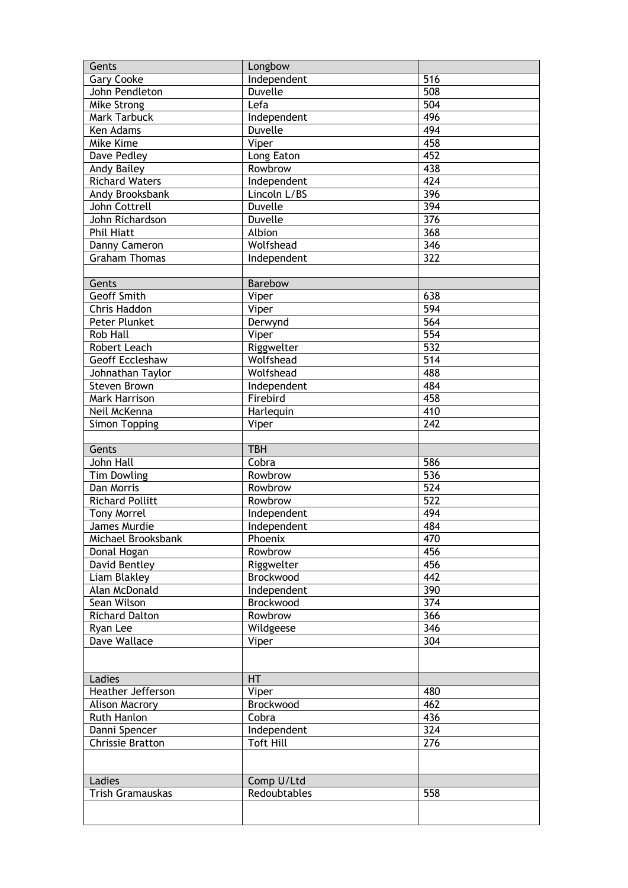| Gents                  | Longbow          |                  |
|------------------------|------------------|------------------|
| <b>Gary Cooke</b>      | Independent      | 516              |
| John Pendleton         | <b>Duvelle</b>   | 508              |
| Mike Strong            | Lefa             | 504              |
| Mark Tarbuck           | Independent      | 496              |
| Ken Adams              | <b>Duvelle</b>   | 494              |
| Mike Kime              | Viper            | 458              |
| Dave Pedley            | Long Eaton       | 452              |
| Andy Bailey            | Rowbrow          | 438              |
| <b>Richard Waters</b>  | Independent      | 424              |
| Andy Brooksbank        | Lincoln L/BS     | 396              |
| John Cottrell          | <b>Duvelle</b>   | 394              |
| John Richardson        | <b>Duvelle</b>   | 376              |
| <b>Phil Hiatt</b>      | Albion           | 368              |
| Danny Cameron          | Wolfshead        | 346              |
| <b>Graham Thomas</b>   | Independent      | $\overline{322}$ |
|                        |                  |                  |
| Gents                  | Barebow          |                  |
| Geoff Smith            | Viper            | 638              |
| Chris Haddon           | Viper            | $\overline{594}$ |
| Peter Plunket          | Derwynd          | $\overline{564}$ |
| <b>Rob Hall</b>        | Viper            | $\overline{554}$ |
| Robert Leach           |                  | 532              |
|                        | Riggwelter       |                  |
| Geoff Eccleshaw        | Wolfshead        | $\overline{514}$ |
| Johnathan Taylor       | Wolfshead        | 488              |
| <b>Steven Brown</b>    | Independent      | 484              |
| Mark Harrison          | Firebird         | 458              |
| Neil McKenna           | Harlequin        | 410              |
| <b>Simon Topping</b>   | Viper            | 242              |
|                        |                  |                  |
|                        |                  |                  |
| Gents                  | <b>TBH</b>       |                  |
| <b>John Hall</b>       | Cobra            | 586              |
| <b>Tim Dowling</b>     | Rowbrow          | 536              |
| Dan Morris             | Rowbrow          | $\overline{524}$ |
| <b>Richard Pollitt</b> | Rowbrow          | $\overline{522}$ |
| <b>Tony Morrel</b>     | Independent      | 494              |
| James Murdie           | Independent      | 484              |
| Michael Brooksbank     | Phoenix          | 470              |
| Donal Hogan            | Rowbrow          | 456              |
| David Bentley          | Riggwelter       | 456              |
| Liam Blakley           | Brockwood        | 442              |
| Alan McDonald          | Independent      | 390              |
| Sean Wilson            | Brockwood        | 374              |
| <b>Richard Dalton</b>  | Rowbrow          | 366              |
| Ryan Lee               | Wildgeese        | 346              |
| Dave Wallace           | Viper            | 304              |
|                        |                  |                  |
|                        |                  |                  |
| Ladies                 | HT               |                  |
| Heather Jefferson      | Viper            | 480              |
| <b>Alison Macrory</b>  | Brockwood        | 462              |
| Ruth Hanlon            | Cobra            | 436              |
|                        |                  | 324              |
| Danni Spencer          | Independent      |                  |
| Chrissie Bratton       | <b>Toft Hill</b> | 276              |
|                        |                  |                  |
|                        |                  |                  |
| Ladies                 | Comp U/Ltd       |                  |
| Trish Gramauskas       | Redoubtables     | 558              |